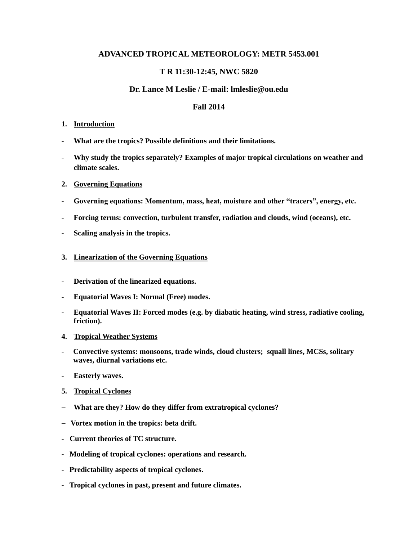# **ADVANCED TROPICAL METEOROLOGY: METR 5453.001**

# **T R 11:30-12:45, NWC 5820**

## **Dr. Lance M Leslie / E-mail: lmleslie@ou.edu**

### **Fall 2014**

#### **1. Introduction**

- **What are the tropics? Possible definitions and their limitations.**
- **Why study the tropics separately? Examples of major tropical circulations on weather and climate scales.**

#### **2. Governing Equations**

- **Governing equations: Momentum, mass, heat, moisture and other "tracers", energy, etc.**
- **Forcing terms: convection, turbulent transfer, radiation and clouds, wind (oceans), etc.**
- **Scaling analysis in the tropics.**

#### **3. Linearization of the Governing Equations**

- **Derivation of the linearized equations.**
- **Equatorial Waves I: Normal (Free) modes.**
- **Equatorial Waves II: Forced modes (e.g. by diabatic heating, wind stress, radiative cooling, friction).**
- **4. Tropical Weather Systems**
- **Convective systems: monsoons, trade winds, cloud clusters; squall lines, MCSs, solitary waves, diurnal variations etc.**
- **Easterly waves.**
- **5. Tropical Cyclones**
- **What are they? How do they differ from extratropical cyclones?**
- **Vortex motion in the tropics: beta drift.**
- **Current theories of TC structure.**
- **Modeling of tropical cyclones: operations and research.**
- **Predictability aspects of tropical cyclones.**
- **Tropical cyclones in past, present and future climates.**